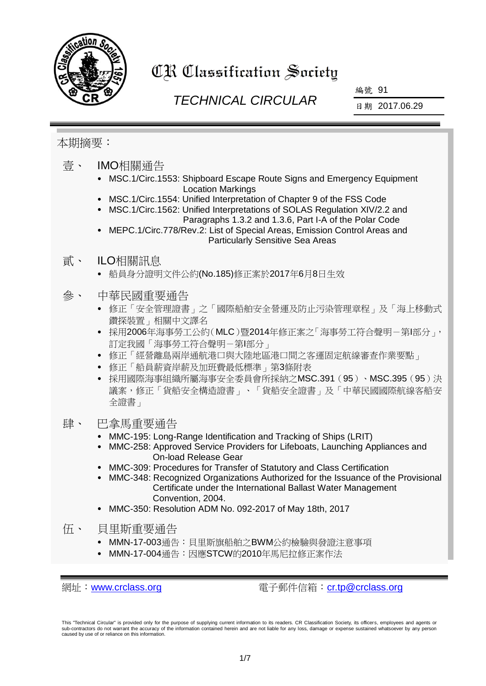

# CR Classification Society

## *TECHNICAL CIRCULAR*

編號 91

日期 2017.06.29

#### 本期摘要:

- 壹、 IMO相關通告
	- MSC.1/Circ.1553: Shipboard Escape Route Signs and Emergency Equipment Location Markings
	- MSC.1/Circ.1554: Unified Interpretation of Chapter 9 of the FSS Code
	- MSC.1/Circ.1562: Unified Interpretations of SOLAS Regulation XIV/2.2 and Paragraphs 1.3.2 and 1.3.6, Part I-A of the Polar Code
	- MEPC.1/Circ.778/Rev.2: List of Special Areas, Emission Control Areas and Particularly Sensitive Sea Areas

#### 貳、 ILO相關訊息

- 船員身分證明文件公約(No.185)修正案於2017年6月8日生效
- 參、 中華民國重要通告
	- 修正「安全管理證書」之「國際船舶安全營運及防止污染管理章程」及「海上移動式 鑽探裝置」相關中文譯名
	- 採用2006年海事勞工公約(MLC)暨2014年修正案之「海事勞工符合聲明-第I部分」, 訂定我國「海事勞工符合聲明-第I部分」
	- 修正「經營離島兩岸通航港口與大陸地區港口間之客運固定航線審查作業要點」
	- 修正「船員薪資岸薪及加班費最低標準」第3條附表
	- 採用國際海事組織所屬海事安全委員會所採納之MSC.391(95)、MSC.395(95)決 議案,修正「貨船安全構造證書」、「貨船安全證書」及「中華民國國際航線客船安 全證書」

#### 肆、 巴拿馬重要通告

- MMC-195: Long-Range Identification and Tracking of Ships (LRIT)
- MMC-258: Approved Service Providers for Lifeboats, Launching Appliances and On-load Release Gear
- MMC-309: Procedures for Transfer of Statutory and Class Certification
- MMC-348: Recognized Organizations Authorized for the Issuance of the Provisional Certificate under the International Ballast Water Management Convention, 2004.
- MMC-350: Resolution ADM No. 092-2017 of May 18th, 2017
- 伍、 貝里斯重要通告
	- MMN-17-003通告: 貝里斯旗船舶之BWM公約檢驗與發證注意事項
	- MMN-17-004通告:因應STCW的2010年馬尼拉修正案作法

網址:[www.crclass.org](http://www.crclass.org/) 電子郵件信箱:[cr.tp@crclass.org](mailto:cr.tp@crclass.org)

This "Technical Circular" is provided only for the purpose of supplying current information to its readers. CR Classification Society, its officers, employees and agents or sub-contractors do not warrant the accuracy of the information contained herein and are not liable for any loss, damage or expense sustained whatsoever by any person caused by use of or reliance on this information.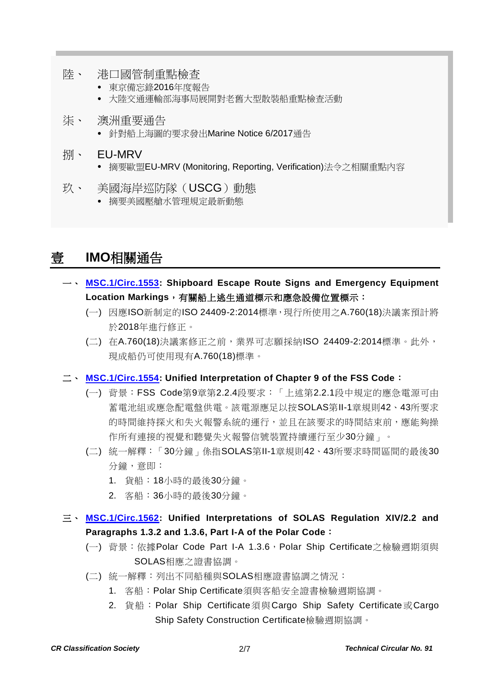- 陸、 港口國管制重點檢查
	- 東京備忘錄2016年度報告
	- 大陸交通運輸部海事局展開對老舊大型散裝船重點檢查活動
- 柒、 澳洲重要通告
	- 針對船上海圖的要求發出Marine Notice 6/2017通告
- 捌、 EU-MRV
	- 摘要歐盟EU-MRV (Monitoring, Reporting, Verification)法令之相關重點內容
- 玖、 美國海岸巡防隊(USCG)動態
	- 摘要美國壓艙水管理規定最新動態

## 壹 **IMO**相關通告

- 一、 **[MSC.1/Circ.1553:](http://www.crclass.org/chinese/download/ti-tc/91/1-1%20MSC.1-Circ.1553%20-%20Shipboard%20Escape%20Route%20Signs%20And%20Emergency%20Equipment%20Location%20Markings%20(Secretariat).pdf) Shipboard Escape Route Signs and Emergency Equipment Location Markings**,有關船上逃生通道標示和應急設備位置標示:
	- (一) 因應ISO新制定的ISO 24409-2:2014標準,現行所使用之A.760(18)決議案預計將 於2018年進行修正。
	- (二) 在A.760(18)決議案修正之前,業界可志願採納ISO 24409-2:2014標準。此外, 現成船仍可使用現有A.760(18)標準。
- 二、 **[MSC.1/Circ.1554:](http://www.crclass.org/chinese/download/ti-tc/91/1-2%20MSC.1-Circ.1554%20-%20Unified%20Interpretation%20Of%20Chapter%209%20Of%20The%20Fss%20Code%20(Secretariat).pdf) Unified Interpretation of Chapter 9 of the FSS Code**:
	- (一) 背景:FSS Code第9章第2.2.4段要求:「上述第2.2.1段中規定的應急電源可由 蓄電池組或應急配電盤供電。該電源應足以按SOLAS第II-1章規則42、43所要求 的時間維持探火和失火報警系統的運行,並且在該要求的時間結束前,應能夠操 作所有連接的視覺和聽覺失火報警信號裝置持續運行至少30分鐘」。
	- (二) 統一解釋:「30分鐘」係指SOLAS第II-1章規則42、43所要求時間區間的最後30 分鐘,意即:
		- 1. 貨船:18小時的最後30分鐘。
		- 2. 客船:36小時的最後30分鐘。
- 三、 **[MSC.1/Circ.1562:](http://www.crclass.org/chinese/download/ti-tc/91/1-3%20MSC.1-Circ.1562%20-%20Unified%20Interpretations%20Of%20Solas%20Regulation%20Xiv2.2%20And%20Paragraphs%201.3.2%20And%201.3.6,%20Part%20I-...%20(Secretariat)%20(1).pdf) Unified Interpretations of SOLAS Regulation XIV/2.2 and Paragraphs 1.3.2 and 1.3.6, Part I-A of the Polar Code**:
	- (一) 背景:依據Polar Code Part I-A 1.3.6,Polar Ship Certificate之檢驗週期須與 SOLAS相應之證書協調。
	- (二) 統一解釋:列出不同船種與SOLAS相應證書協調之情況:
		- 1. 客船:Polar Ship Certificate須與客船安全證書檢驗週期協調。
		- 2. 貨船: Polar Ship Certificate須與Cargo Ship Safety Certificate或Cargo Ship Safety Construction Certificate檢驗週期協調。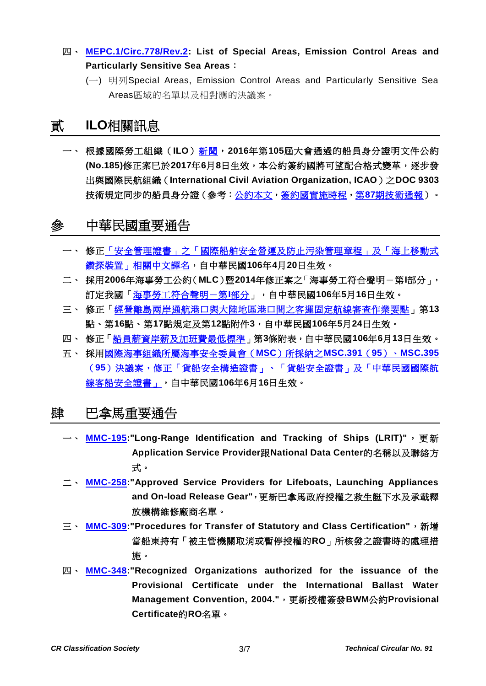- 四、 **[MEPC.1/Circ.778/Rev.2:](http://www.crclass.org/chinese/download/ti-tc/91/1-4%20MEPC.1-Circ.778-Rev.2%20-%20Special%20Areas%20and%20Emission%20Control%20Areas%20(ECAs)%20under%20MARPOL%20(Secretariat).pdf) List of Special Areas, Emission Control Areas and Particularly Sensitive Sea Areas**:
	- (一) 明列Special Areas, Emission Control Areas and Particularly Sensitive Sea Areas區域的名單以及相對應的決議案。

## 貳 **ILO**相關訊息

一、 根據國際勞工組織(**ILO**[\)新聞,](http://www.ilo.org/global/standards/information-resources-and-publications/news/WCMS_557117/lang--en/index.htm)**2016**年第**105**屆大會通過的船員身分證明文件公約 **(No.185)**修正案已於**2017**年**6**月**8**日生效,本公約簽約國將可望配合格式變革,逐步發 出與國際民航組織(**International Civil Aviation Organization, ICAO**)之**DOC 9303** 技術規定同步的船員身分證(參考[:公約本文,](http://www.ilo.org/dyn/normlex/en/f?p=NORMLEXPUB:12100:0::NO::P12100_ILO_CODE:C185)[簽約國實施時程,](http://www.ilo.org/wcmsp5/groups/public/---ed_norm/---relconf/documents/meetingdocument/wcms_483218.pdf)第**87**[期技術通報\)](http://www.crclass.org/chinese/download/ti-tc/87/87.pdf)。

### 參 中華民國重要通告

- 一、 修[正「安全管理證書」之「國際船舶安全營運及防止污染管理章程」及「海上移動式](http://gazette.nat.gov.tw/egFront/detail.do?metaid=90534&log=detailLog) [鑽探裝置」相關中文譯名,](http://gazette.nat.gov.tw/egFront/detail.do?metaid=90534&log=detailLog)自中華民國**106**年**4**月**20**日生效。
- 二、 採用**2006**年海事勞工公約(**MLC**)暨**2014**年修正案之「海事勞工符合聲明-第**I**部分」, 訂定我國[「海事勞工符合聲明-第](http://gazette.nat.gov.tw/egFront/detail.do?metaid=91140&log=detailLog)**I**部分」,自中華民國**106**年**5**月**16**日生效。
- 三、 修正[「經營離島兩岸通航港口與大陸地區港口間之客運固定航線審查作業要點」](http://gazette.nat.gov.tw/egFront/detail.do?metaid=91239&log=detailLog)第**13** 點、第**16**點、第**17**點規定及第**12**點附件**3**,自中華民國**106**年**5**月**24**日生效。
- 四、 修正[「船員薪資岸薪及加班費最低標準」](http://gazette.nat.gov.tw/egFront/detail.do?metaid=91611&log=detailLog)第**3**條附表,自中華民國**106**年**6**月**13**日生效。
- 五、 採[用國際海事組織所屬海事安全委員會\(](http://gazette.nat.gov.tw/egFront/detail.do?metaid=91704&log=detailLog)**MSC**)所採納之**MSC.391**(**95**)、**MSC.395** (**95**[\)決議案,修正「貨船安全構造證書」、「貨船安全證書」及「中華民國國際航](http://gazette.nat.gov.tw/egFront/detail.do?metaid=91704&log=detailLog) [線客船安全證書」,](http://gazette.nat.gov.tw/egFront/detail.do?metaid=91704&log=detailLog)自中華民國**106**年**6**月**16**日生效。

#### 肆 巴拿馬重要通告

- 一、 **[MMC-195:](http://www.crclass.org/chinese/download/ti-tc/91/4-1%20MMC195-LRIT-may-2017.pdf)"Long-Range Identification and Tracking of Ships (LRIT)"**, 更 新 **Application Service Provider**跟**National Data Center**的名稱以及聯絡方 式。
- 二、 **[MMC-258:](http://www.crclass.org/chinese/download/ti-tc/91/4-2%20MMC-258-april-2017.pdf)"Approved Service Providers for Lifeboats, Launching Appliances and On-load Release Gear"**,更新巴拿馬政府授權之救生艇下水及承載釋 放機構維修廠商名單。
- 三、 **[MMC-309:](http://www.crclass.org/chinese/download/ti-tc/91/4-3%20MMC-309-TRANSFER-OF-CERTIFICATION-docx-REV-2-2017%20(1).pdf)"Procedures for Transfer of Statutory and Class Certification"**,新增 當船東持有「被主管機關取消或暫停授權的**RO**」所核發之證書時的處理措 施。
- 四、 **[MMC-348:](http://www.crclass.org/chinese/download/ti-tc/91/4-4%20MMC-348-June-2017.pdf)"Recognized Organizations authorized for the issuance of the Provisional Certificate under the International Ballast Water Management Convention, 2004."**,更新授權簽發**BWM**公約**Provisional Certificate**的**RO**名單。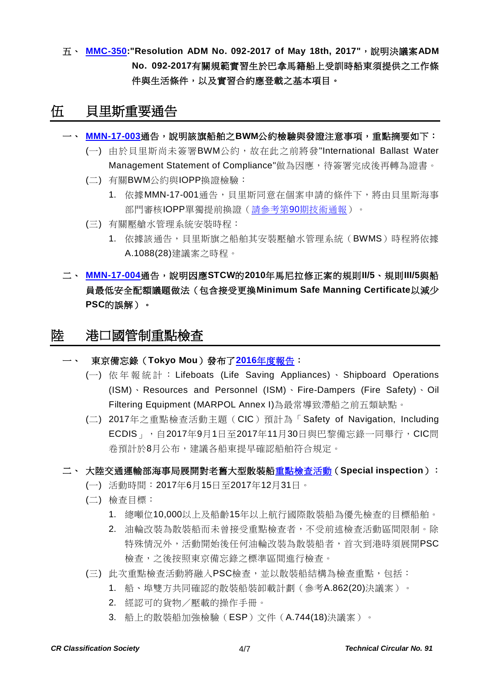五、 **[MMC-350:](http://www.crclass.org/chinese/download/ti-tc/91/4-5%20MMC-350-Nueva-DGGM-25-05-2017.pdf)"Resolution ADM No. 092-2017 of May 18th, 2017"**,說明決議案**ADM No. 092-2017**有關規範實習生於巴拿馬籍船上受訓時船東須提供之工作條 件與生活條件,以及實習合約應登載之基本項目。

#### 伍 貝里斯重要通告

- 一、 **[MMN-17-003](http://www.crclass.org/chinese/download/ti-tc/91/5-1%20MMN-17-003%20Survey%20&%20Certification%20for%20the%20Int)**通告,說明該旗船舶之**BWM**公約檢驗與發證注意事項,重點摘要如下:
	- (一) 由於貝里斯尚未簽署BWM公約,故在此之前將發"International Ballast Water Management Statement of Compliance"做為因應,待簽署完成後再轉為證書。
	- (二) 有關BWM公約與IOPP換證檢驗:
		- 1. 依據MMN-17-001通告, 貝里斯同意在個案申請的條件下, 將由貝里斯海事 部門審核IOPP單獨提前換證(請參考第90[期技術通報\)](http://www.crclass.org/chinese/download/ti-tc/90/90.pdf)。
	- (三) 有關壓艙水管理系統安裝時程:
		- 1. 依據該通告,貝里斯旗之船舶其安裝壓艙水管理系統(BWMS)時程將依據 A.1088(28)建議案之時程。

#### 二、 **[MMN-17-004](http://www.crclass.org/chinese/download/ti-tc/91/5-2%20MMN-17-004%202010%20Manila%20Amendments%20to%20the%20STCW%20Convention%20-%20Minimum%20Safe%20Manning%20Certificates.pdf)**通告,說明因應**STCW**的**2010**年馬尼拉修正案的規則**II/5**、規則**III/5**與船 員最低安全配額議題做法(包含接受更換**Minimum Safe Manning Certificate**以減少 **PSC**的誤解)。

#### 陸 港口國管制重點檢查

一、 東京備忘錄(**Tokyo Mou**)發布了**2016**[年度報告:](http://www.tokyo-mou.org/publications/annual_report.php)

- (一) 依年報統計: Lifeboats (Life Saving Appliances) 、 Shipboard Operations (ISM)、Resources and Personnel (ISM)、Fire-Dampers (Fire Safety)、Oil Filtering Equipment (MARPOL Annex I)為最常導致滯船之前五類缺點。
- (二) 2017年之重點檢查活動主題(CIC)預計為「Safety of Navigation, Including ECDIS」,自2017年9月1日至2017年11月30日與巴黎備忘錄一同舉行,CIC問 卷預計於8月公布,建議各船東提早確認船舶符合規定。

#### 二、 大陸交通運輸部海事局展開對老舊大型散裝[船重點檢查活動\(](http://www.lygmsa.gov.cn/art/2017/6/13/art_3249_1368037.html)**Special inspection**):

- (一) 活動時間:2017年6月15日至2017年12月31日。
- (二) 檢查目標:
	- 1. 總噸位10,000以上及船齡15年以上航行國際散裝船為優先檢查的目標船舶。
	- 2. 油輪改裝為散裝船而未曾接受重點檢查者,不受前述檢查活動區間限制。除 特殊情況外,活動開始後任何油輪改裝為散裝船者,首次到港時須展開PSC 檢查,之後按照東京備忘錄之標準區間進行檢查。
- (三) 此次重點檢查活動將融入PSC檢查,並以散裝船結構為檢查重點,包括:
	- 1. 船、埠雙方共同確認的散裝船裝卸載計劃(參考A.862(20)決議案)。
	- 2. 經認可的貨物/壓載的操作手冊。
	- 3. 船上的散裝船加強檢驗(ESP)文件(A.744(18)決議案)。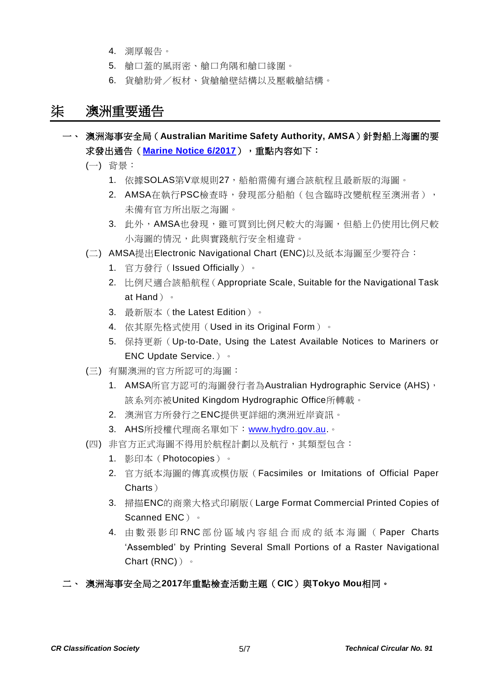- 4. 測厚報告。
- 5. 艙口蓋的風雨密、艙口角隅和艙口緣圍。
- 6. 貨艙肋骨/板材、貨艙艙壁結構以及壓載艙結構。

### 柒 澳洲重要通告

- 一、 澳洲海事安全局(**Australian Maritime Safety Authority, AMSA**)針對船上海圖的要 求發出通告(**[Marine Notice 6/2017](http://www.crclass.org/chinese/download/ti-tc/91/7-1%206.17%20(1).pdf)**),重點內容如下:
	- (一) 背景:
		- 1. 依據SOLAS第V章規則27,船舶需備有適合該航程且最新版的海圖。
		- 2. AMSA在執行PSC檢查時,發現部分船舶(包含臨時改變航程至澳洲者), 未備有官方所出版之海圖。
		- 3. 此外,AMSA也發現,雖可買到比例尺較大的海圖,但船上仍使用比例尺較 小海圖的情況,此與實踐航行安全相違背。
	- (二) AMSA提出Electronic Navigational Chart (ENC)以及紙本海圖至少要符合:
		- 1. 官方發行(Issued Officially)。
		- 2. 比例尺適合該船航程(Appropriate Scale, Suitable for the Navigational Task at Hand)。
		- 3. 最新版本(the Latest Edition)。
		- 4. 依其原先格式使用(Used in its Original Form)。
		- 5. 保持更新(Up-to-Date, Using the Latest Available Notices to Mariners or ENC Update Service.)。
	- (三) 有關澳洲的官方所認可的海圖:
		- 1. AMSA所官方認可的海圖發行者為Australian Hydrographic Service (AHS), 該系列亦被United Kingdom Hydrographic Office所轉載。
		- 2. 澳洲官方所發行之ENC提供更詳細的澳洲近岸資訊。
		- 3. AHS所授權代理商名單如下: [www.hydro.gov.au.](http://www.hydro.gov.au/)。
	- (四) 非官方正式海圖不得用於航程計劃以及航行,其類型包含:
		- 1. 影印本(Photocopies)。
		- 2. 官方紙本海圖的傳真或模仿版(Facsimiles or Imitations of Official Paper Charts)
		- 3. 掃描ENC的商業大格式印刷版(Large Format Commercial Printed Copies of Scanned ENC) 。
		- 4. 由數張影印 RNC 部 份 區域內容 組合而成 的 紙本海圖 ( Paper Charts 'Assembled' by Printing Several Small Portions of a Raster Navigational Chart (RNC))。
- 二、 澳洲海事安全局之**2017**年重點檢查活動主題(**CIC**)與**Tokyo Mou**相同。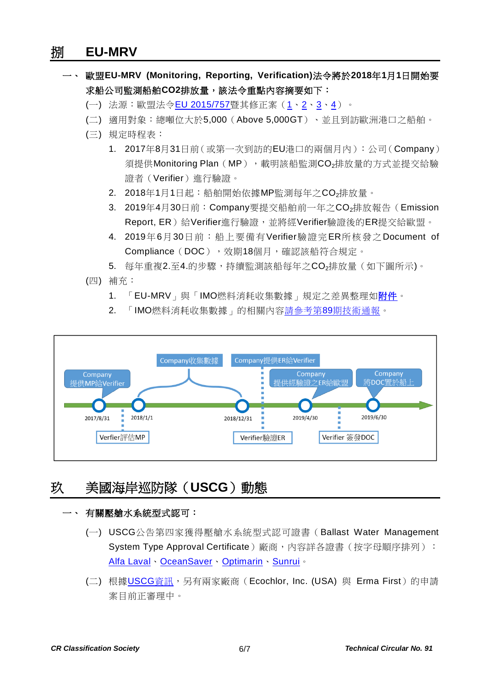#### 捌 **EU-MRV**

- 一、 歐盟**EU-MRV (Monitoring, Reporting, Verification)**法令將於**2018**年**1**月**1**日開始要 求船公司監測船舶CO2排放量,該法令重點內容摘要如下:
	- (一) 法源:歐盟法令[EU 2015/757](http://eur-lex.europa.eu/legal-content/EN/TXT/?uri=celex%3A32015R0757)暨其修正案 ([1](http://eur-lex.europa.eu/legal-content/EN/TXT/?uri=uriserv:OJ.L_.2016.299.01.0001.01.ENG)、[2](http://eur-lex.europa.eu/legal-content/EN/TXT/?uri=celex:32016R1928)、[3](http://eur-lex.europa.eu/legal-content/EN/TXT/?uri=celex:32016R2071)、[4](http://eur-lex.europa.eu/legal-content/EN/TXT/?uri=uriserv:OJ.L_.2016.320.01.0005.01.ENG)) 。
	- (二) 適用對象:總噸位大於5,000(Above 5,000GT)、並且到訪歐洲港口之船舶。
	- (三) 規定時程表:
		- 1. 2017年8月31日前(或第一次到訪的EU港口的兩個月內):公司(Company) 須提供Monitoring Plan (MP), 載明該船監測CO<sub>2</sub>排放量的方式並提交給驗 證者(Verifier)進行驗證。
		- 2. 2018年1月1日起:船舶開始依據MP監測每年之CO2排放量。
		- 3. 2019年4月30日前:Company要提交船舶前一年之CO<sub>2</sub>排放報告(Emission Report, ER)給Verifier進行驗證,並將經Verifier驗證後的ER提交給歐盟。
		- 4. 2019年6月30日前:船上要備有Verifier驗證完ER所核發之Document of Compliance (DOC), 效期18個月,確認該船符合規定。
		- 5. 每年重複2.至4.的步驟,持續監測該船每年之CO2排放量(如下圖所示)。
	- (四) 補充:
		- 1. 「EU-MRV」與「IMO燃料消耗收集數據」規定之差異整理[如附件。](http://www.crclass.org/chinese/download/ti-tc/91/8-1%20EU-MRV%20vs.%20IMO%20Data%20Collection%20System.pdf)
		- 2. 「IMO燃料消耗收集數據」的相關內容請參考第89[期技術通報。](http://www.crclass.org/chinese/download/ti-tc/89/89.pdf)



## 玖 美國海岸巡防隊(**USCG**)動態

#### 一、 有關壓艙水系統型式認可:

- (一) USCG公告第四家獲得壓艙水系統型式認可證書(Ballast Water Management System Type Approval Certificate)廠商,內容詳各證書(按字母順序排列): [Alfa Laval](http://www.crclass.org/chinese/download/ti-tc/91/9-1%20162.060.2.0_Alfa%20Laval%20Redacted.pdf)、[OceanSaver](http://www.crclass.org/chinese/download/ti-tc/91/9-2%20162.060.3.1_OceanSaver%20Redacted.pdf)、[Optimarin](http://www.crclass.org/chinese/download/ti-tc/91/9-3%20162.060.1.0_Optimarin%20Redacted.pdf)、[Sunrui](http://www.crclass.org/chinese/download/ti-tc/91/9-4%20Sunrui.pdf)。
- (二) 根據[USCG](http://www.crclass.org/chinese/download/ti-tc/91/9-5%20BWMS_Approval_Status.pdf)資訊,另有兩家廠商 (Ecochlor, Inc. (USA) 與 Erma First )的申請 案目前正審理中。